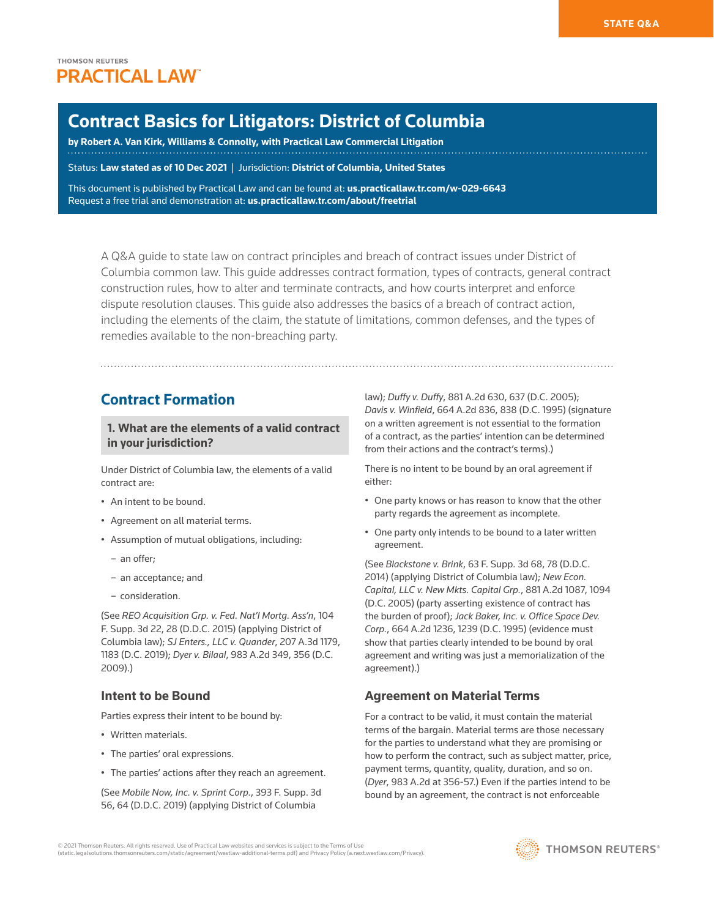# **THOMSON REUTERS PRACTICAL LAW**

# **Contract Basics for Litigators: District of Columbia**

**by [Robert A. Van Kirk,](https://www.wc.com/Attorneys/Robert-A-Van-Kirk) Williams & Connolly, with Practical Law Commercial Litigation**

Status: **Law stated as of 10 Dec 2021** | Jurisdiction: **District of Columbia, United States**

This document is published by Practical Law and can be found at[:](http://us.practicallaw.tr.com/W-028-4180) **[us.practicallaw.tr.com/w-029-6643](http://us.practicallaw.tr.com/w-029-6643)** Request a free trial and demonstration at: **[us.practicallaw.tr.com/about/freetrial](http://us.practicallaw.tr.com/about/freetrial)**

A Q&A guide to state law on contract principles and breach of contract issues under District of Columbia common law. This guide addresses contract formation, types of contracts, general contract construction rules, how to alter and terminate contracts, and how courts interpret and enforce dispute resolution clauses. This guide also addresses the basics of a breach of contract action, including the elements of the claim, the statute of limitations, common defenses, and the types of remedies available to the non-breaching party.

# **Contract Formation**

**1. What are the elements of a valid contract in your jurisdiction?**

Under District of Columbia law, the elements of a valid contract are:

- An intent to be bound.
- Agreement on all material terms.
- Assumption of mutual obligations, including:
	- an offer;
	- an acceptance; and
	- [consideration.](http://us.practicallaw.thomsonreuters.com/Document/I0f9fc0e6ef0811e28578f7ccc38dcbee/View/FullText.html?originationContext=document&vr=3.0&rs=cblt1.0&transitionType=DocumentItem&contextData=(sc.Search))

(See *REO Acquisition Grp. v. Fed. Nat'l Mortg. Ass'n*, 104 F. Supp. 3d 22, 28 (D.D.C. 2015) (applying District of Columbia law); *SJ Enters., LLC v. Quander*, 207 A.3d 1179, 1183 (D.C. 2019); *Dyer v. Bilaal*, 983 A.2d 349, 356 (D.C. 2009).)

# **Intent to be Bound**

Parties express their intent to be bound by:

- Written materials.
- The parties' oral expressions.
- The parties' actions after they reach an agreement.

(See *Mobile Now, Inc. v. Sprint Corp.*, 393 F. Supp. 3d 56, 64 (D.D.C. 2019) (applying District of Columbia

law); *Duffy v. Duffy*, 881 A.2d 630, 637 (D.C. 2005); *Davis v. Winfield*, 664 A.2d 836, 838 (D.C. 1995) (signature on a written agreement is not essential to the formation of a contract, as the parties' intention can be determined from their actions and the contract's terms).)

There is no intent to be bound by an oral agreement if either:

- One party knows or has reason to know that the other party regards the agreement as incomplete.
- One party only intends to be bound to a later written agreement.

(See *Blackstone v. Brink*, 63 F. Supp. 3d 68, 78 (D.D.C. 2014) (applying District of Columbia law); *New Econ. Capital, LLC v. New Mkts. Capital Grp.*, 881 A.2d 1087, 1094 (D.C. 2005) (party asserting existence of contract has the burden of proof); *Jack Baker, Inc. v. Office Space Dev. Corp.*, 664 A.2d 1236, 1239 (D.C. 1995) (evidence must show that parties clearly intended to be bound by oral agreement and writing was just a memorialization of the agreement).)

# **Agreement on Material Terms**

For a contract to be valid, it must contain the material terms of the bargain. Material terms are those necessary for the parties to understand what they are promising or how to perform the contract, such as subject matter, price, payment terms, quantity, quality, duration, and so on. (*Dyer*, 983 A.2d at 356-57.) Even if the parties intend to be bound by an agreement, the contract is not enforceable

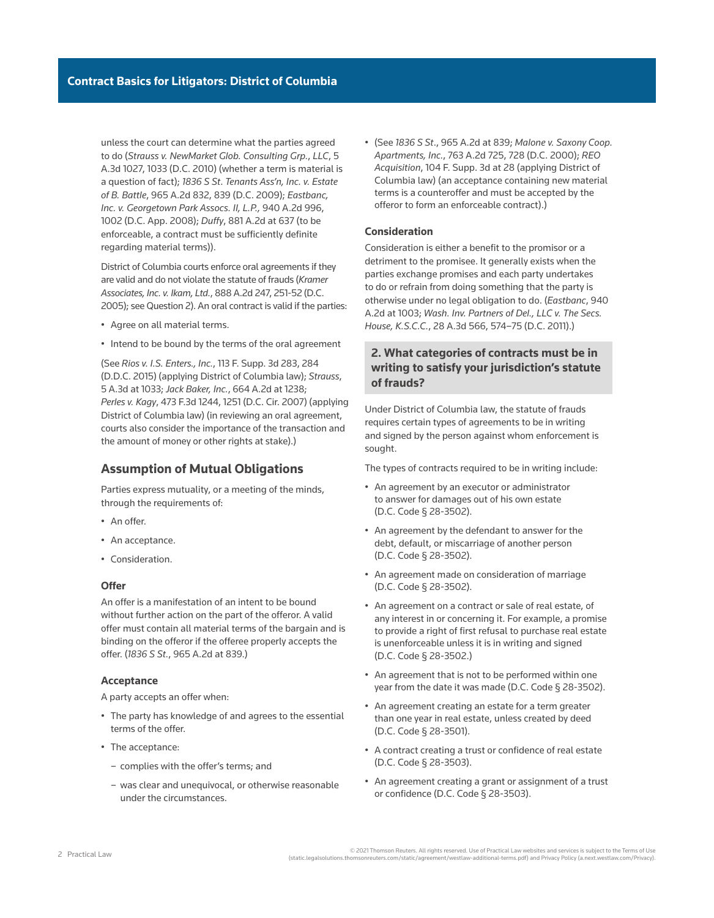unless the court can determine what the parties agreed to do (*Strauss v. NewMarket Glob. Consulting Grp.*, *LLC*, 5 A.3d 1027, 1033 (D.C. 2010) (whether a term is material is a question of fact); *1836 S St*. *Tenants Ass'n, Inc. v. Estate of B. Battle*, 965 A.2d 832, 839 (D.C. 2009); *Eastbanc, Inc. v. Georgetown Park Assocs. II, L.P.,* 940 A.2d 996, 1002 (D.C. App. 2008); *Duffy*, 881 A.2d at 637 (to be enforceable, a contract must be sufficiently definite regarding material terms)).

District of Columbia courts enforce oral agreements if they are valid and do not violate the statute of frauds (*Kramer Associates, Inc. v. Ikam, Ltd.*, 888 A.2d 247, 251-52 (D.C. 2005); see Question 2). An oral contract is valid if the parties:

- Agree on all material terms.
- Intend to be bound by the terms of the oral agreement

(See *Rios v. I.S. Enters., Inc.*, 113 F. Supp. 3d 283, 284 (D.D.C. 2015) (applying District of Columbia law); *Strauss*, 5 A.3d at 1033; *Jack Baker, Inc.*, 664 A.2d at 1238; *Perles v. Kagy*, 473 F.3d 1244, 1251 (D.C. Cir. 2007) (applying District of Columbia law) (in reviewing an oral agreement, courts also consider the importance of the transaction and the amount of money or other rights at stake).)

#### **Assumption of Mutual Obligations**

Parties express mutuality, or a meeting of the minds, through the requirements of:

- An offer.
- An acceptance.
- Consideration.

#### **Offer**

An offer is a manifestation of an intent to be bound without further action on the part of the offeror. A valid offer must contain all material terms of the bargain and is binding on the offeror if the offeree properly accepts the offer. (*1836 S St.*, 965 A.2d at 839.)

#### **Acceptance**

A party accepts an offer when:

- The party has knowledge of and agrees to the essential terms of the offer.
- The acceptance:
	- complies with the offer's terms; and
	- was clear and unequivocal, or otherwise reasonable under the circumstances.

• (See *1836 S St*., 965 A.2d at 839; *Malone v. Saxony Coop. Apartments, Inc.*, 763 A.2d 725, 728 (D.C. 2000); *REO Acquisition*, 104 F. Supp. 3d at 28 (applying District of Columbia law) (an acceptance containing new material terms is a counteroffer and must be accepted by the offeror to form an enforceable contract).)

#### **Consideration**

Consideration is either a benefit to the promisor or a detriment to the promisee. It generally exists when the parties exchange promises and each party undertakes to do or refrain from doing something that the party is otherwise under no legal obligation to do. (*Eastbanc*, 940 A.2d at 1003; *Wash. Inv. Partners of Del., LLC v. The Secs. House, K.S.C.C.*, 28 A.3d 566, 574–75 (D.C. 2011).)

# **2. What categories of contracts must be in writing to satisfy your jurisdiction's statute of frauds?**

Under District of Columbia law, the statute of frauds requires certain types of agreements to be in writing and signed by the person against whom enforcement is sought.

The types of contracts required to be in writing include:

- An agreement by an executor or administrator to answer for damages out of his own estate (D.C. Code § 28-3502).
- An agreement by the defendant to answer for the debt, default, or miscarriage of another person (D.C. Code § 28-3502).
- An agreement made on consideration of marriage (D.C. Code § 28-3502).
- An agreement on a contract or sale of real estate, of any interest in or concerning it. For example, a promise to provide a right of first refusal to purchase real estate is unenforceable unless it is in writing and signed (D.C. Code § 28-3502.)
- An agreement that is not to be performed within one year from the date it was made (D.C. Code § 28-3502).
- An agreement creating an estate for a term greater than one year in real estate, unless created by deed ([D.C. Code § 28-3501\)](http://us.practicallaw.thomsonreuters.com/Link/Document/FullText?findType=L&pubNum=1000869&cite=DCCODES28-3501&originatingDoc=I953074096d7a11ebbea4f0dc9fb69570&refType=LQ&originationContext=document&vr=3.0&rs=cblt1.0&transitionType=PLDocumentLink&billingHash=DFE7A1AB4DAB874B74CB66BD44DA5AE266BDFB43D49B2FFB9BE893E186EC7638&contextData=(sc.Search)).
- A contract creating a trust or confidence of real estate (D.C. Code § 28-3503).
- An agreement creating a grant or assignment of a trust or confidence (D.C. Code § 28-3503).

2021 Thomson Reuters. All rights reserved. Use of Practical Law websites and services is subject to the Terms of Use<br>(static.legalsolutions.thomsonreuters.com/static/agreement/westlaw-additional-terms.pdf) and Privacy Poli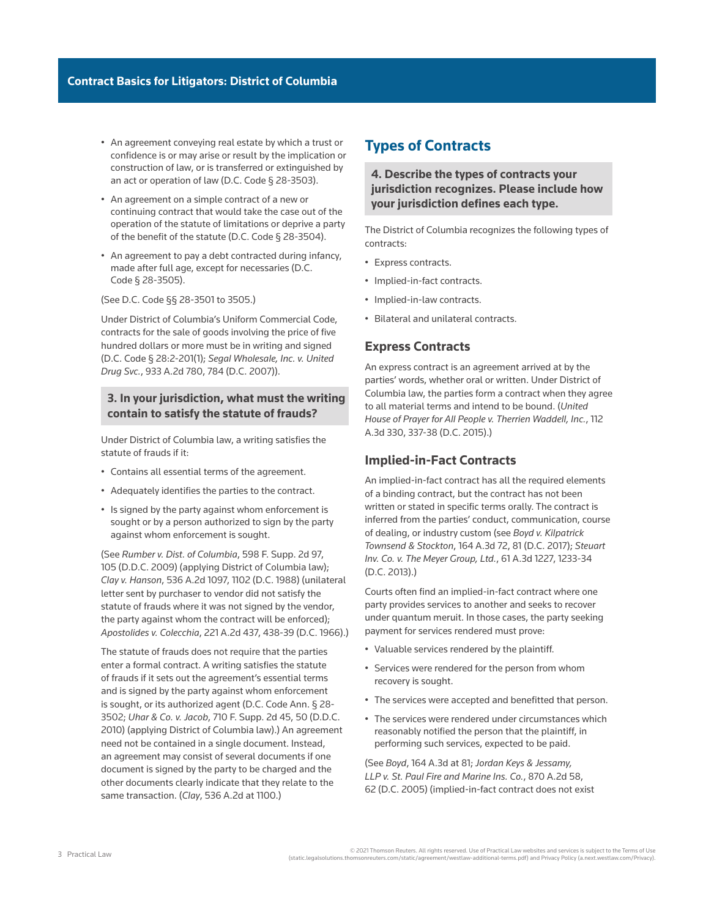- An agreement conveying real estate by which a trust or confidence is or may arise or result by the implication or construction of law, or is transferred or extinguished by an act or operation of law (D.C. Code § 28-3503).
- An agreement on a simple contract of a new or continuing contract that would take the case out of the operation of the statute of limitations or deprive a party of the benefit of the statute (D.C. Code § 28-3504).
- An agreement to pay a debt contracted during infancy, made after full age, except for necessaries (D.C. Code § 28-3505).

(See D.C. Code §§ 28-3501 to 3505.)

Under District of Columbia's Uniform Commercial Code, contracts for the sale of goods involving the price of five hundred dollars or more must be in writing and signed (D.C. Code § 28:2-201(1); *Segal Wholesale, Inc. v. United Drug Svc.*, 933 A.2d 780, 784 (D.C. 2007)).

### **3. In your jurisdiction, what must the writing contain to satisfy the statute of frauds?**

Under District of Columbia law, a writing satisfies the statute of frauds if it:

- Contains all essential terms of the agreement.
- Adequately identifies the parties to the contract.
- Is signed by the party against whom enforcement is sought or by a person authorized to sign by the party against whom enforcement is sought.

(See *Rumber v. Dist. of Columbia*, 598 F. Supp. 2d 97, 105 (D.D.C. 2009) (applying District of Columbia law); *Clay v. Hanson*, 536 A.2d 1097, 1102 (D.C. 1988) (unilateral letter sent by purchaser to vendor did not satisfy the statute of frauds where it was not signed by the vendor, the party against whom the contract will be enforced); *Apostolides v. Colecchia*, 221 A.2d 437, 438-39 (D.C. 1966).)

The statute of frauds does not require that the parties enter a formal contract. A writing satisfies the statute of frauds if it sets out the agreement's essential terms and is signed by the party against whom enforcement is sought, or its authorized agent (D.C. Code Ann. § 28- 3502; *Uhar & Co. v. Jacob*, 710 F. Supp. 2d 45, 50 (D.D.C. 2010) (applying District of Columbia law).) An agreement need not be contained in a single document. Instead, an agreement may consist of several documents if one document is signed by the party to be charged and the other documents clearly indicate that they relate to the same transaction. (*Clay*, 536 A.2d at 1100.)

# **Types of Contracts**

**4. Describe the types of contracts your jurisdiction recognizes. Please include how your jurisdiction defines each type.**

The District of Columbia recognizes the following types of contracts:

- Express contracts.
- Implied-in-fact contracts.
- Implied-in-law contracts.
- Bilateral and unilateral contracts.

#### **Express Contracts**

An express contract is an agreement arrived at by the parties' words, whether oral or written. Under District of Columbia law, the parties form a contract when they agree to all material terms and intend to be bound. (*United House of Prayer for All People v. Therrien Waddell, Inc.*, 112 A.3d 330, 337-38 (D.C. 2015).)

#### **Implied-in-Fact Contracts**

An implied-in-fact contract has all the required elements of a binding contract, but the contract has not been written or stated in specific terms orally. The contract is inferred from the parties' conduct, communication, course of dealing, or industry custom (see *Boyd v. Kilpatrick Townsend & Stockton*, 164 A.3d 72, 81 (D.C. 2017); *Steuart Inv. Co. v. The Meyer Group, Ltd.*, 61 A.3d 1227, 1233-34 (D.C. 2013).)

Courts often find an implied-in-fact contract where one party provides services to another and seeks to recover under quantum meruit. In those cases, the party seeking payment for services rendered must prove:

- Valuable services rendered by the plaintiff.
- Services were rendered for the person from whom recovery is sought.
- The services were accepted and benefitted that person.
- The services were rendered under circumstances which reasonably notified the person that the plaintiff, in performing such services, expected to be paid.

(See *Boyd*, 164 A.3d at 81; *Jordan Keys & Jessamy, LLP v. St. Paul Fire and Marine Ins. Co.*, 870 A.2d 58, 62 (D.C. 2005) (implied-in-fact contract does not exist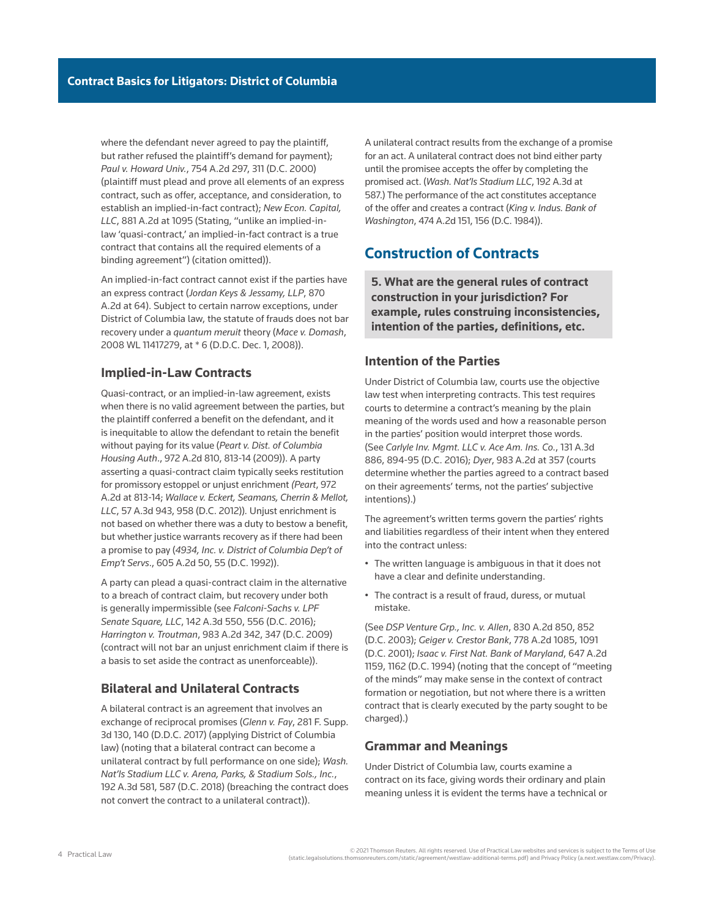where the defendant never agreed to pay the plaintiff, but rather refused the plaintiff's demand for payment); *Paul v. Howard Univ.*, 754 A.2d 297, 311 (D.C. 2000) (plaintiff must plead and prove all elements of an express contract, such as offer, acceptance, and consideration, to establish an implied-in-fact contract); *New Econ. Capital, LLC*, 881 A.2d at 1095 (Stating, "unlike an implied-inlaw 'quasi-contract,' an implied-in-fact contract is a true contract that contains all the required elements of a binding agreement") (citation omitted)).

An implied-in-fact contract cannot exist if the parties have an express contract (*Jordan Keys & Jessamy, LLP*, 870 A.2d at 64). Subject to certain narrow exceptions, under District of Columbia law, the statute of frauds does not bar recovery under a *quantum meruit* theory (*Mace v. Domash*, 2008 WL 11417279, at \* 6 (D.D.C. Dec. 1, 2008)).

### **Implied-in-Law Contracts**

Quasi-contract, or an implied-in-law agreement, exists when there is no valid agreement between the parties, but the plaintiff conferred a benefit on the defendant, and it is inequitable to allow the defendant to retain the benefit without paying for its value (*Peart v. Dist. of Columbia Housing Auth*., 972 A.2d 810, 813-14 (2009)). A party asserting a quasi-contract claim typically seeks restitution for promissory estoppel or unjust enrichment *(Peart*, 972 A.2d at 813-14; *Wallace v. Eckert, Seamans, Cherrin & Mellot, LLC*, 57 A.3d 943, 958 (D.C. 2012))*.* Unjust enrichment is not based on whether there was a duty to bestow a benefit, but whether justice warrants recovery as if there had been a promise to pay (*4934, Inc. v. District of Columbia Dep't of Emp't Servs*., 605 A.2d 50, 55 (D.C. 1992)).

A party can plead a quasi-contract claim in the alternative to a breach of contract claim, but recovery under both is generally impermissible (see *Falconi-Sachs v. LPF Senate Square, LLC*, 142 A.3d 550, 556 (D.C. 2016); *Harrington v. Troutman*, 983 A.2d 342, 347 (D.C. 2009) (contract will not bar an unjust enrichment claim if there is a basis to set aside the contract as unenforceable)).

# **Bilateral and Unilateral Contracts**

A bilateral contract is an agreement that involves an exchange of reciprocal promises (*Glenn v. Fay*, 281 F. Supp. 3d 130, 140 (D.D.C. 2017) (applying District of Columbia law) (noting that a bilateral contract can become a unilateral contract by full performance on one side); *Wash. Nat'ls Stadium LLC v. Arena, Parks, & Stadium Sols., Inc.*, 192 A.3d 581, 587 (D.C. 2018) (breaching the contract does not convert the contract to a unilateral contract)).

A unilateral contract results from the exchange of a promise for an act. A unilateral contract does not bind either party until the promisee accepts the offer by completing the promised act. (*Wash. Nat'ls Stadium LLC*, 192 A.3d at 587.) The performance of the act constitutes acceptance of the offer and creates a contract (*King v. Indus. Bank of Washington*, 474 A.2d 151, 156 (D.C. 1984)).

# **Construction of Contracts**

**5. What are the general rules of contract construction in your jurisdiction? For example, rules construing inconsistencies, intention of the parties, definitions, etc.**

### **Intention of the Parties**

Under District of Columbia law, courts use the objective law test when interpreting contracts. This test requires courts to determine a contract's meaning by the plain meaning of the words used and how a reasonable person in the parties' position would interpret those words. (See *Carlyle Inv. Mgmt. LLC v. Ace Am. Ins. Co.*, 131 A.3d 886, 894-95 (D.C. 2016); *Dyer*, 983 A.2d at 357 (courts determine whether the parties agreed to a contract based on their agreements' terms, not the parties' subjective intentions).)

The agreement's written terms govern the parties' rights and liabilities regardless of their intent when they entered into the contract unless:

- The written language is ambiguous in that it does not have a clear and definite understanding.
- The contract is a result of fraud, duress, or mutual mistake.

(See *DSP Venture Grp., Inc. v. Allen*, 830 A.2d 850, 852 (D.C. 2003); *Geiger v. Crestor Bank*, 778 A.2d 1085, 1091 (D.C. 2001); *Isaac v. First Nat. Bank of Maryland*, 647 A.2d 1159, 1162 (D.C. 1994) (noting that the concept of "meeting of the minds" may make sense in the context of contract formation or negotiation, but not where there is a written contract that is clearly executed by the party sought to be charged).)

#### **Grammar and Meanings**

Under District of Columbia law, courts examine a contract on its face, giving words their ordinary and plain meaning unless it is evident the terms have a technical or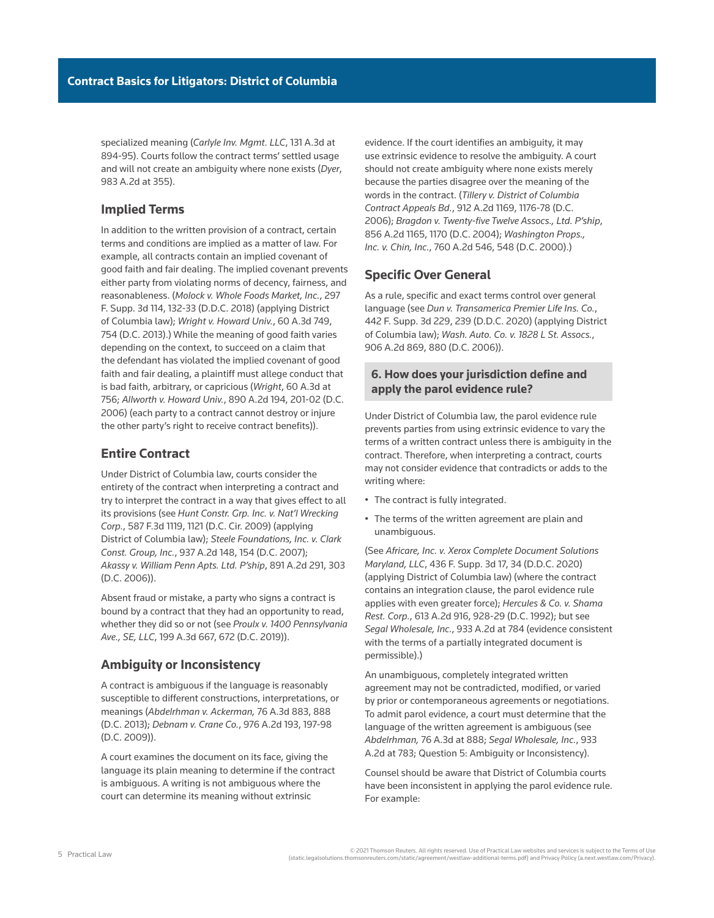specialized meaning (*Carlyle Inv. Mgmt. LLC*, 131 A.3d at 894-95). Courts follow the contract terms' settled usage and will not create an ambiguity where none exists (*Dyer*, 983 A.2d at 355).

# **Implied Terms**

In addition to the written provision of a contract, certain terms and conditions are implied as a matter of law. For example, all contracts contain an implied covenant of good faith and fair dealing. The implied covenant prevents either party from violating norms of decency, fairness, and reasonableness. (*Molock v. Whole Foods Market, Inc.*, 297 F. Supp. 3d 114, 132-33 (D.D.C. 2018) (applying District of Columbia law); *Wright v. Howard Univ.*, 60 A.3d 749, 754 (D.C. 2013).) While the meaning of good faith varies depending on the context, to succeed on a claim that the defendant has violated the implied covenant of good faith and fair dealing, a plaintiff must allege conduct that is bad faith, arbitrary, or capricious (*Wright*, 60 A.3d at 756; *Allworth v. Howard Univ.*, 890 A.2d 194, 201-02 (D.C. 2006) (each party to a contract cannot destroy or injure the other party's right to receive contract benefits)).

# **Entire Contract**

Under District of Columbia law, courts consider the entirety of the contract when interpreting a contract and try to interpret the contract in a way that gives effect to all its provisions (see *Hunt Constr. Grp. Inc. v. Nat'l Wrecking Corp.*, 587 F.3d 1119, 1121 (D.C. Cir. 2009) (applying District of Columbia law); *Steele Foundations, Inc. v. Clark Const. Group, Inc.*, 937 A.2d 148, 154 (D.C. 2007); *Akassy v. William Penn Apts. Ltd. P'ship*, 891 A.2d 291, 303 (D.C. 2006)).

Absent fraud or mistake, a party who signs a contract is bound by a contract that they had an opportunity to read, whether they did so or not (see *Proulx v. 1400 Pennsylvania Ave., SE, LLC*, 199 A.3d 667, 672 (D.C. 2019)).

### **Ambiguity or Inconsistency**

A contract is ambiguous if the language is reasonably susceptible to different constructions, interpretations, or meanings (*Abdelrhman v. Ackerman,* 76 A.3d 883, 888 (D.C. 2013); *Debnam v. Crane Co.*, 976 A.2d 193, 197-98 (D.C. 2009)).

A court examines the document on its face, giving the language its plain meaning to determine if the contract is ambiguous. A writing is not ambiguous where the court can determine its meaning without extrinsic

evidence. If the court identifies an ambiguity, it may use extrinsic evidence to resolve the ambiguity. A court should not create ambiguity where none exists merely because the parties disagree over the meaning of the words in the contract. (*Tillery v. District of Columbia Contract Appeals Bd.*, 912 A.2d 1169, 1176-78 (D.C. 2006); *Bragdon v. Twenty-five Twelve Assocs., Ltd. P'ship*, 856 A.2d 1165, 1170 (D.C. 2004); *Washington Props., Inc. v. Chin, Inc.*, 760 A.2d 546, 548 (D.C. 2000).)

### **Specific Over General**

As a rule, specific and exact terms control over general language (see *Dun v. Transamerica Premier Life Ins. Co.*, 442 F. Supp. 3d 229, 239 (D.D.C. 2020) (applying District of Columbia law); *Wash. Auto. Co. v. 1828 L St. Assocs.*, 906 A.2d 869, 880 (D.C. 2006)).

# **6. How does your jurisdiction define and apply the parol evidence rule?**

Under District of Columbia law, the parol evidence rule prevents parties from using extrinsic evidence to vary the terms of a written contract unless there is ambiguity in the contract. Therefore, when interpreting a contract, courts may not consider evidence that contradicts or adds to the writing where:

- The contract is fully integrated.
- The terms of the written agreement are plain and unambiguous.

(See *Africare, Inc. v. Xerox Complete Document Solutions Maryland, LLC*, 436 F. Supp. 3d 17, 34 (D.D.C. 2020) (applying District of Columbia law) (where the contract contains an integration clause, the parol evidence rule applies with even greater force); *Hercules & Co. v. Shama Rest. Corp.*, 613 A.2d 916, 928-29 (D.C. 1992); but see *Segal Wholesale, Inc.*, 933 A.2d at 784 (evidence consistent with the terms of a partially integrated document is permissible).)

An unambiguous, completely integrated written agreement may not be contradicted, modified, or varied by prior or contemporaneous agreements or negotiations. To admit parol evidence, a court must determine that the language of the written agreement is ambiguous (see *Abdelrhman,* 76 A.3d at 888; *Segal Wholesale, Inc.*, 933 A.2d at 783; Question 5: Ambiguity or Inconsistency).

Counsel should be aware that District of Columbia courts have been inconsistent in applying the parol evidence rule. For example: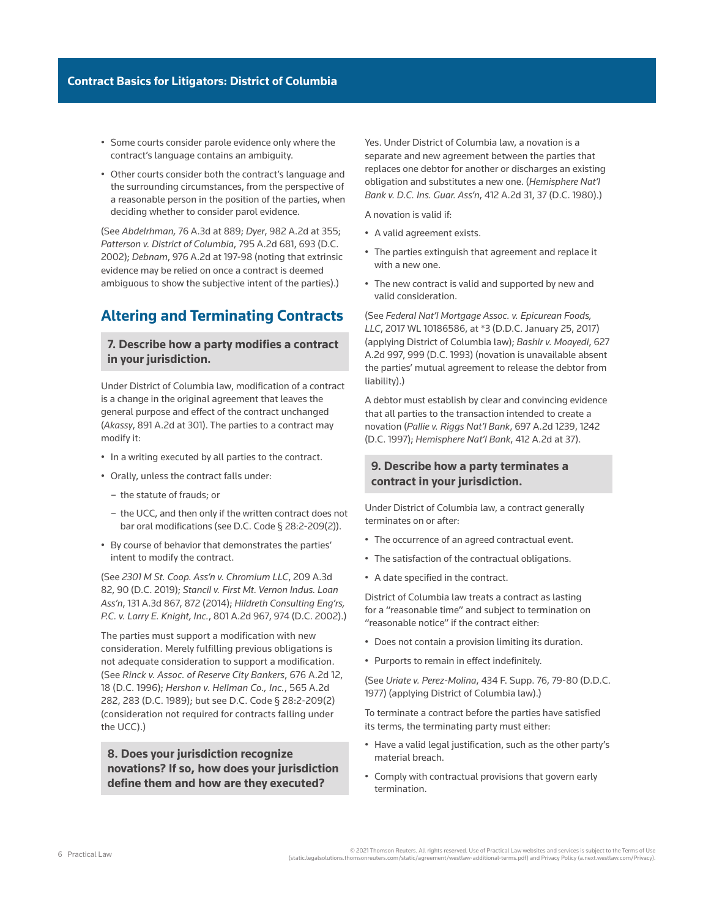- Some courts consider parole evidence only where the contract's language contains an ambiguity.
- Other courts consider both the contract's language and the surrounding circumstances, from the perspective of a reasonable person in the position of the parties, when deciding whether to consider parol evidence.

(See *Abdelrhman,* 76 A.3d at 889; *Dyer*, 982 A.2d at 355; *Patterson v. District of Columbia*, 795 A.2d 681, 693 (D.C. 2002); *Debnam*, 976 A.2d at 197-98 (noting that extrinsic evidence may be relied on once a contract is deemed ambiguous to show the subjective intent of the parties).)

# **Altering and Terminating Contracts**

#### **7. Describe how a party modifies a contract in your jurisdiction.**

Under District of Columbia law, modification of a contract is a change in the original agreement that leaves the general purpose and effect of the contract unchanged (*Akassy*, 891 A.2d at 301). The parties to a contract may modify it:

- In a writing executed by all parties to the contract.
- Orally, unless the contract falls under:
	- the statute of frauds; or
	- the UCC, and then only if the written contract does not bar oral modifications (see D.C. Code § 28:2-209(2)).
- By course of behavior that demonstrates the parties' intent to modify the contract.

(See *2301 M St. Coop. Ass'n v. Chromium LLC*, 209 A.3d 82, 90 (D.C. 2019); *Stancil v. First Mt. Vernon Indus. Loan Ass'n*, 131 A.3d 867, 872 (2014); *Hildreth Consulting Eng'rs, P.C. v. Larry E. Knight, Inc.*, 801 A.2d 967, 974 (D.C. 2002).)

The parties must support a modification with new consideration. Merely fulfilling previous obligations is not adequate consideration to support a modification. (See *Rinck v. Assoc. of Reserve City Bankers*, 676 A.2d 12, 18 (D.C. 1996); *Hershon v. Hellman Co., Inc.*, 565 A.2d 282, 283 (D.C. 1989); but see D.C. Code § 28:2-209(2) (consideration not required for contracts falling under the UCC).)

**8. Does your jurisdiction recognize novations? If so, how does your jurisdiction define them and how are they executed?**

Yes. Under District of Columbia law, a novation is a separate and new agreement between the parties that replaces one debtor for another or discharges an existing obligation and substitutes a new one. (*Hemisphere Nat'l Bank v. D.C. Ins. Guar. Ass'n*, 412 A.2d 31, 37 (D.C. 1980).)

A novation is valid if:

- A valid agreement exists.
- The parties extinguish that agreement and replace it with a new one.
- The new contract is valid and supported by new and valid consideration.

(See *Federal Nat'l Mortgage Assoc. v. Epicurean Foods, LLC*, 2017 WL 10186586, at \*3 (D.D.C. January 25, 2017) (applying District of Columbia law); *Bashir v. Moayedi*, 627 A.2d 997, 999 (D.C. 1993) (novation is unavailable absent the parties' mutual agreement to release the debtor from liability).)

A debtor must establish by clear and convincing evidence that all parties to the transaction intended to create a novation (*Pallie v. Riggs Nat'l Bank*, 697 A.2d 1239, 1242 (D.C. 1997); *Hemisphere Nat'l Bank*, 412 A.2d at 37).

#### **9. Describe how a party terminates a contract in your jurisdiction.**

Under District of Columbia law, a contract generally terminates on or after:

- The occurrence of an agreed contractual event.
- The satisfaction of the contractual obligations.
- A date specified in the contract.

District of Columbia law treats a contract as lasting for a "reasonable time" and subject to termination on "reasonable notice" if the contract either:

- Does not contain a provision limiting its duration.
- Purports to remain in effect indefinitely.

(See *Uriate v. Perez-Molina*, 434 F. Supp. 76, 79-80 (D.D.C. 1977) (applying District of Columbia law).)

To terminate a contract before the parties have satisfied its terms, the terminating party must either:

- Have a valid legal justification, such as the other party's material breach.
- Comply with contractual provisions that govern early termination.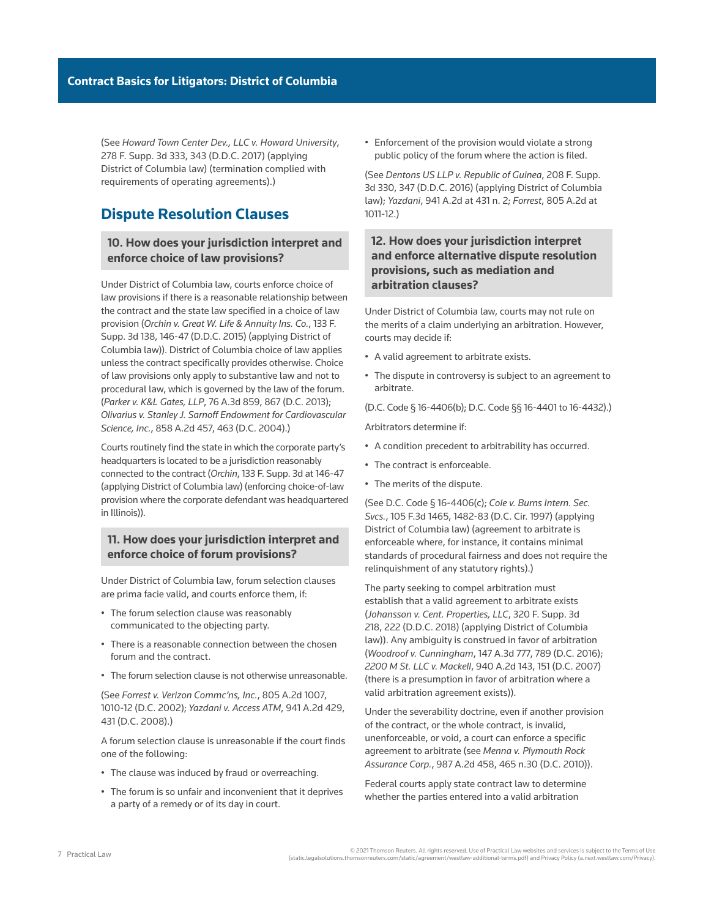(See *Howard Town Center Dev., LLC v. Howard University*, 278 F. Supp. 3d 333, 343 (D.D.C. 2017) (applying District of Columbia law) (termination complied with requirements of operating agreements).)

# **Dispute Resolution Clauses**

### **10. How does your jurisdiction interpret and enforce choice of law provisions?**

Under District of Columbia law, courts enforce choice of law provisions if there is a reasonable relationship between the contract and the state law specified in a choice of law provision (*Orchin v. Great W. Life & Annuity Ins. Co.*, 133 F. Supp. 3d 138, 146-47 (D.D.C. 2015) (applying District of Columbia law)). District of Columbia choice of law applies unless the contract specifically provides otherwise. Choice of law provisions only apply to substantive law and not to procedural law, which is governed by the law of the forum. (*Parker v. K&L Gates, LLP*, 76 A.3d 859, 867 (D.C. 2013); *Olivarius v. Stanley J. Sarnoff Endowment for Cardiovascular Science, Inc.*, 858 A.2d 457, 463 (D.C. 2004).)

Courts routinely find the state in which the corporate party's headquarters is located to be a jurisdiction reasonably connected to the contract (*Orchin*, 133 F. Supp. 3d at 146-47 (applying District of Columbia law) (enforcing choice-of-law provision where the corporate defendant was headquartered in Illinois)).

### **11. How does your jurisdiction interpret and enforce choice of forum provisions?**

Under District of Columbia law, forum selection clauses are prima facie valid, and courts enforce them, if:

- The forum selection clause was reasonably communicated to the objecting party.
- There is a reasonable connection between the chosen forum and the contract.
- The forum selection clause is not otherwise unreasonable.

(See *Forrest v. Verizon Commc'ns, Inc.*, 805 A.2d 1007, 1010-12 (D.C. 2002); *Yazdani v. Access ATM*, 941 A.2d 429, 431 (D.C. 2008).)

A forum selection clause is unreasonable if the court finds one of the following:

- The clause was induced by fraud or overreaching.
- The forum is so unfair and inconvenient that it deprives a party of a remedy or of its day in court.

• Enforcement of the provision would violate a strong public policy of the forum where the action is filed.

(See *Dentons US LLP v. Republic of Guinea*, 208 F. Supp. 3d 330, 347 (D.D.C. 2016) (applying District of Columbia law); *Yazdani*, 941 A.2d at 431 n. 2; *Forrest*, 805 A.2d at 1011-12.)

# **12. How does your jurisdiction interpret and enforce alternative dispute resolution provisions, such as mediation and arbitration clauses?**

Under District of Columbia law, courts may not rule on the merits of a claim underlying an arbitration. However, courts may decide if:

- A valid agreement to arbitrate exists.
- The dispute in controversy is subject to an agreement to arbitrate.

(D.C. Code § 16-4406(b); D.C. Code §§ 16-4401 to 16-4432).)

Arbitrators determine if:

- A condition precedent to arbitrability has occurred.
- The contract is enforceable.
- The merits of the dispute.

(See D.C. Code § 16-4406(c); *Cole v. Burns Intern. Sec. Svcs.*, 105 F.3d 1465, 1482-83 (D.C. Cir. 1997) (applying District of Columbia law) (agreement to arbitrate is enforceable where, for instance, it contains minimal standards of procedural fairness and does not require the relinquishment of any statutory rights).)

The party seeking to compel arbitration must establish that a valid agreement to arbitrate exists (*Johansson v. Cent. Properties, LLC*, 320 F. Supp. 3d 218, 222 (D.D.C. 2018) (applying District of Columbia law)). Any ambiguity is construed in favor of arbitration (*Woodroof v. Cunningham*, 147 A.3d 777, 789 (D.C. 2016); *2200 M St. LLC v. Mackell*, 940 A.2d 143, 151 (D.C. 2007) (there is a presumption in favor of arbitration where a valid arbitration agreement exists)).

Under the severability doctrine, even if another provision of the contract, or the whole contract, is invalid, unenforceable, or void, a court can enforce a specific agreement to arbitrate (see *Menna v. Plymouth Rock Assurance Corp.*, 987 A.2d 458, 465 n.30 (D.C. 2010)).

Federal courts apply state contract law to determine whether the parties entered into a valid arbitration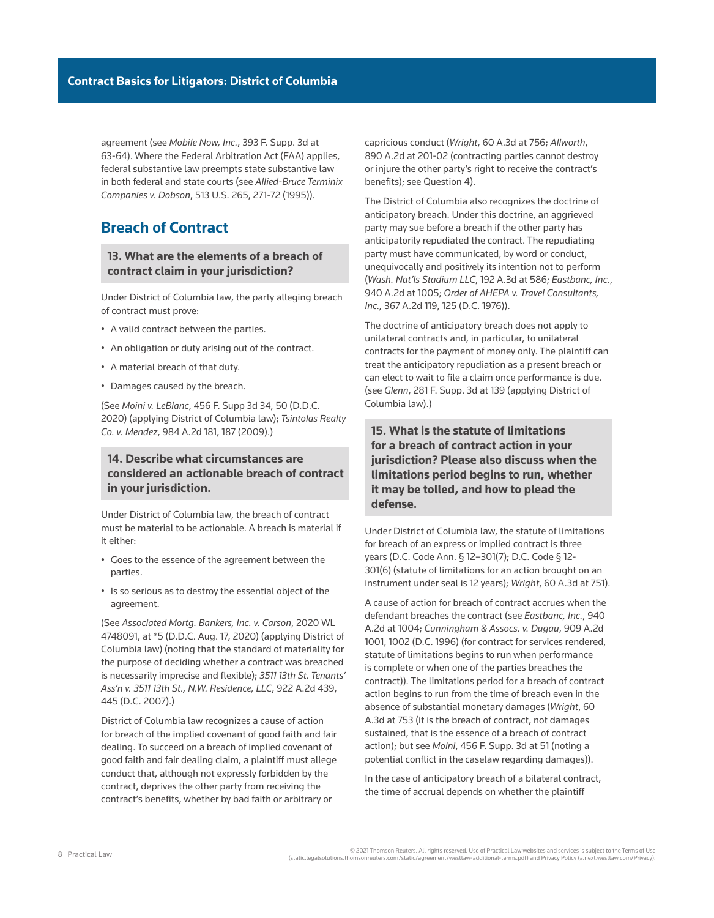agreement (see *Mobile Now, Inc.*, 393 F. Supp. 3d at 63-64). Where the Federal Arbitration Act (FAA) applies, federal substantive law preempts state substantive law in both federal and state courts (see *Allied-Bruce Terminix Companies v. Dobson*, 513 U.S. 265, 271-72 (1995)).

# **Breach of Contract**

# **13. What are the elements of a breach of contract claim in your jurisdiction?**

Under District of Columbia law, the party alleging breach of contract must prove:

- A valid contract between the parties.
- An obligation or duty arising out of the contract.
- A material breach of that duty.
- Damages caused by the breach.

(See *Moini v. LeBlanc*, 456 F. Supp 3d 34, 50 (D.D.C. 2020) (applying District of Columbia law); *Tsintolas Realty Co. v. Mendez*, 984 A.2d 181, 187 (2009).)

# **14. Describe what circumstances are considered an actionable breach of contract in your jurisdiction.**

Under District of Columbia law, the breach of contract must be material to be actionable. A breach is material if it either:

- Goes to the essence of the agreement between the parties.
- Is so serious as to destroy the essential object of the agreement.

(See *Associated Mortg. Bankers, Inc. v. Carson*, 2020 WL 4748091, at \*5 (D.D.C. Aug. 17, 2020) (applying District of Columbia law) (noting that the standard of materiality for the purpose of deciding whether a contract was breached is necessarily imprecise and flexible); *3511 13th St. Tenants' Ass'n v. 3511 13th St., N.W. Residence, LLC*, 922 A.2d 439, 445 (D.C. 2007).)

District of Columbia law recognizes a cause of action for breach of the implied covenant of good faith and fair dealing. To succeed on a breach of implied covenant of good faith and fair dealing claim, a plaintiff must allege conduct that, although not expressly forbidden by the contract, deprives the other party from receiving the contract's benefits, whether by bad faith or arbitrary or

capricious conduct (*Wright*, 60 A.3d at 756; *Allworth*, 890 A.2d at 201-02 (contracting parties cannot destroy or injure the other party's right to receive the contract's benefits); see Question 4).

The District of Columbia also recognizes the doctrine of anticipatory breach. Under this doctrine, an aggrieved party may sue before a breach if the other party has anticipatorily repudiated the contract. The repudiating party must have communicated, by word or conduct, unequivocally and positively its intention not to perform (*Wash. Nat'ls Stadium LLC*, 192 A.3d at 586; *Eastbanc, Inc.*, 940 A.2d at 1005; *Order of AHEPA v. Travel Consultants, Inc.,* 367 A.2d 119, 125 (D.C. 1976)).

The doctrine of anticipatory breach does not apply to unilateral contracts and, in particular, to unilateral contracts for the payment of money only. The plaintiff can treat the anticipatory repudiation as a present breach or can elect to wait to file a claim once performance is due. (see *Glenn*, 281 F. Supp. 3d at 139 (applying District of Columbia law).)

**15. What is the statute of limitations for a breach of contract action in your jurisdiction? Please also discuss when the limitations period begins to run, whether it may be tolled, and how to plead the defense.**

Under District of Columbia law, the statute of limitations for breach of an express or implied contract is three years (D.C. Code Ann. § 12–301(7); D.C. Code § 12- 301(6) (statute of limitations for an action brought on an instrument under seal is 12 years); *Wright*, 60 A.3d at 751).

A cause of action for breach of contract accrues when the defendant breaches the contract (see *Eastbanc, Inc.*, 940 A.2d at 1004; *Cunningham & Assocs. v. Dugau*, 909 A.2d 1001, 1002 (D.C. 1996) (for contract for services rendered, statute of limitations begins to run when performance is complete or when one of the parties breaches the contract)). The limitations period for a breach of contract action begins to run from the time of breach even in the absence of substantial monetary damages (*Wright*, 60 A.3d at 753 (it is the breach of contract, not damages sustained, that is the essence of a breach of contract action); but see *Moini*, 456 F. Supp. 3d at 51 (noting a potential conflict in the caselaw regarding damages)).

In the case of anticipatory breach of a bilateral contract, the time of accrual depends on whether the plaintiff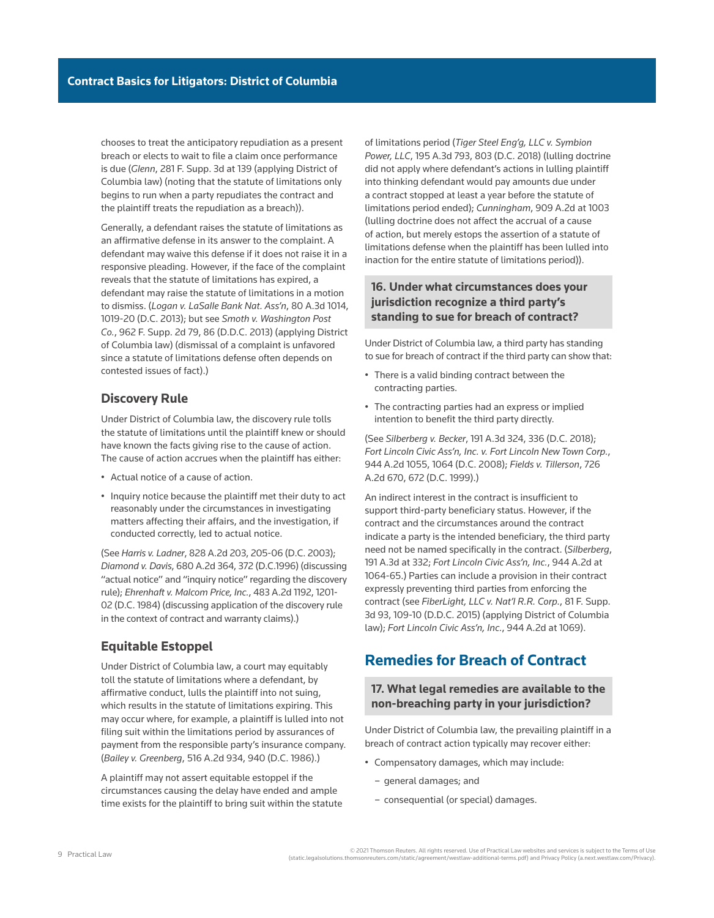chooses to treat the anticipatory repudiation as a present breach or elects to wait to file a claim once performance is due (*Glenn*, 281 F. Supp. 3d at 139 (applying District of Columbia law) (noting that the statute of limitations only begins to run when a party repudiates the contract and the plaintiff treats the repudiation as a breach)).

Generally, a defendant raises the statute of limitations as an [affirmative defense](http://us.practicallaw.thomsonreuters.com/Document/I0f9fbfe2ef0811e28578f7ccc38dcbee/View/FullText.html?originationContext=document&vr=3.0&rs=cblt1.0&transitionType=DocumentItem&contextData=(sc.Search)) in its answer to the complaint. A defendant may waive this defense if it does not raise it in a responsive pleading. However, if the face of the complaint reveals that the statute of limitations has expired, a defendant may raise the statute of limitations in a motion to dismiss. (*Logan v. LaSalle Bank Nat. Ass'n*, 80 A.3d 1014, 1019-20 (D.C. 2013); but see *Smoth v. Washington Post Co.*, 962 F. Supp. 2d 79, 86 (D.D.C. 2013) (applying District of Columbia law) (dismissal of a complaint is unfavored since a statute of limitations defense often depends on contested issues of fact).)

#### **Discovery Rule**

Under District of Columbia law, the discovery rule tolls the statute of limitations until the plaintiff knew or should have known the facts giving rise to the cause of action. The cause of action accrues when the plaintiff has either:

- Actual notice of a cause of action.
- Inquiry notice because the plaintiff met their duty to act reasonably under the circumstances in investigating matters affecting their affairs, and the investigation, if conducted correctly, led to actual notice.

(See *Harris v. Ladner*, 828 A.2d 203, 205-06 (D.C. 2003); *Diamond v. Davis*, 680 A.2d 364, 372 (D.C.1996) (discussing "actual notice" and "inquiry notice" regarding the discovery rule); *Ehrenhaft v. Malcom Price, Inc.*, 483 A.2d 1192, 1201- 02 (D.C. 1984) (discussing application of the discovery rule in the context of contract and warranty claims).)

# **Equitable Estoppel**

Under District of Columbia law, a court may equitably toll the statute of limitations where a defendant, by affirmative conduct, lulls the plaintiff into not suing, which results in the statute of limitations expiring. This may occur where, for example, a plaintiff is lulled into not filing suit within the limitations period by assurances of payment from the responsible party's insurance company. (*Bailey v. Greenberg*, 516 A.2d 934, 940 (D.C. 1986).)

A plaintiff may not assert equitable estoppel if the circumstances causing the delay have ended and ample time exists for the plaintiff to bring suit within the statute of limitations period (*Tiger Steel Eng'g, LLC v. Symbion Power, LLC*, 195 A.3d 793, 803 (D.C. 2018) (lulling doctrine did not apply where defendant's actions in lulling plaintiff into thinking defendant would pay amounts due under a contract stopped at least a year before the statute of limitations period ended); *Cunningham*, 909 A.2d at 1003 (lulling doctrine does not affect the accrual of a cause of action, but merely estops the assertion of a statute of limitations defense when the plaintiff has been lulled into inaction for the entire statute of limitations period)).

### **16. Under what circumstances does your jurisdiction recognize a third party's standing to sue for breach of contract?**

Under District of Columbia law, a third party has standing to sue for breach of contract if the third party can show that:

- There is a valid binding contract between the contracting parties.
- The contracting parties had an express or implied intention to benefit the third party directly.

(See *Silberberg v. Becker*, 191 A.3d 324, 336 (D.C. 2018); *Fort Lincoln Civic Ass'n, Inc. v. Fort Lincoln New Town Corp.*, 944 A.2d 1055, 1064 (D.C. 2008); *Fields v. Tillerson*, 726 A.2d 670, 672 (D.C. 1999).)

An indirect interest in the contract is insufficient to support third-party beneficiary status. However, if the contract and the circumstances around the contract indicate a party is the intended beneficiary, the third party need not be named specifically in the contract. (*Silberberg*, 191 A.3d at 332; *Fort Lincoln Civic Ass'n, Inc.*, 944 A.2d at 1064-65.) Parties can include a provision in their contract expressly preventing third parties from enforcing the contract (see *FiberLight, LLC v. Nat'l R.R. Corp.*, 81 F. Supp. 3d 93, 109-10 (D.D.C. 2015) (applying District of Columbia law); *Fort Lincoln Civic Ass'n, Inc.*, 944 A.2d at 1069).

# **Remedies for Breach of Contract**

# **17. What legal remedies are available to the non-breaching party in your jurisdiction?**

Under District of Columbia law, the prevailing plaintiff in a breach of contract action typically may recover either:

- Compensatory damages, which may include:
	- general damages; and
	- consequential (or special) damages.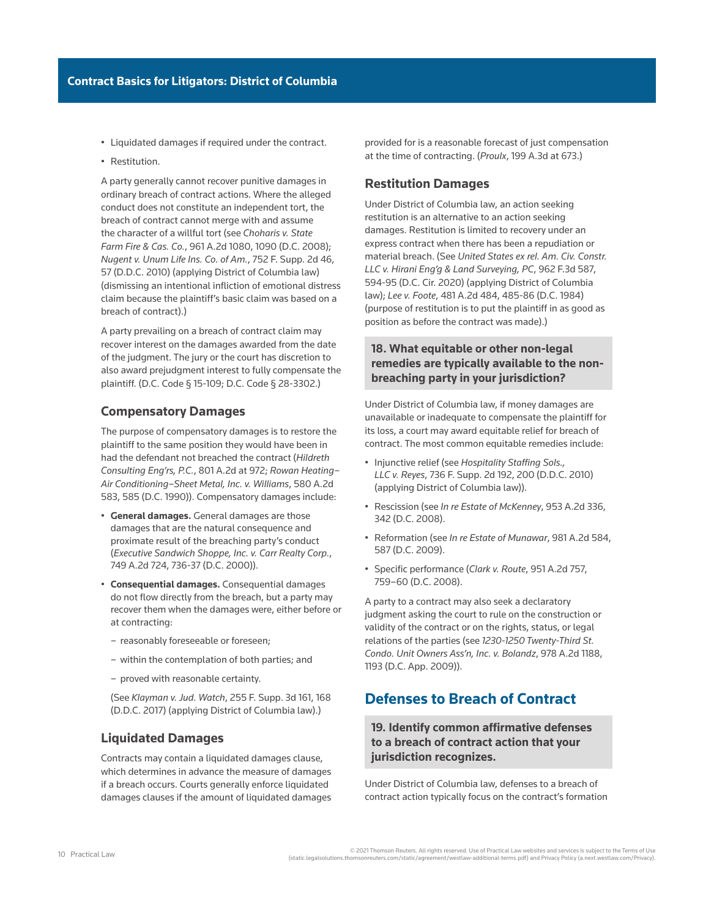- Liquidated damages if required under the contract.
- Restitution.

A party generally cannot recover punitive damages in ordinary breach of contract actions. Where the alleged conduct does not constitute an independent tort, the breach of contract cannot merge with and assume the character of a willful tort (see *Choharis v. State Farm Fire & Cas. Co.*, 961 A.2d 1080, 1090 (D.C. 2008); *Nugent v. Unum Life Ins. Co. of Am.*, 752 F. Supp. 2d 46, 57 (D.D.C. 2010) (applying District of Columbia law) (dismissing an intentional infliction of emotional distress claim because the plaintiff's basic claim was based on a breach of contract).)

A party prevailing on a breach of contract claim may recover interest on the damages awarded from the date of the judgment. The jury or the court has discretion to also award prejudgment interest to fully compensate the plaintiff. (D.C. Code § 15-109; D.C. Code § 28-3302.)

### **Compensatory Damages**

The purpose of compensatory damages is to restore the plaintiff to the same position they would have been in had the defendant not breached the contract (*Hildreth Consulting Eng'rs, P.C.*, 801 A.2d at 972; *Rowan Heating– Air Conditioning–Sheet Metal, Inc. v. Williams*, 580 A.2d 583, 585 (D.C. 1990)). Compensatory damages include:

- **General damages.** General damages are those damages that are the natural consequence and proximate result of the breaching party's conduct (*Executive Sandwich Shoppe, Inc. v. Carr Realty Corp.*, 749 A.2d 724, 736-37 (D.C. 2000)).
- **Consequential damages.** Consequential damages do not flow directly from the breach, but a party may recover them when the damages were, either before or at contracting:
	- reasonably foreseeable or foreseen;
	- within the contemplation of both parties; and
	- proved with reasonable certainty.

(See *Klayman v. Jud. Watch*, 255 F. Supp. 3d 161, 168 (D.D.C. 2017) (applying District of Columbia law).)

### **Liquidated Damages**

Contracts may contain a liquidated damages clause, which determines in advance the measure of damages if a breach occurs. Courts generally enforce liquidated damages clauses if the amount of liquidated damages provided for is a reasonable forecast of just compensation at the time of contracting. (*Proulx*, 199 A.3d at 673.)

#### **Restitution Damages**

Under District of Columbia law, an action seeking restitution is an alternative to an action seeking damages. Restitution is limited to recovery under an express contract when there has been a repudiation or material breach. (See *United States ex rel. Am. Civ. Constr. LLC v. Hirani Eng'g & Land Surveying, PC*, 962 F.3d 587, 594-95 (D.C. Cir. 2020) (applying District of Columbia law); *Lee v. Foote*, 481 A.2d 484, 485-86 (D.C. 1984) (purpose of restitution is to put the plaintiff in as good as position as before the contract was made).)

# **18. What equitable or other non-legal remedies are typically available to the nonbreaching party in your jurisdiction?**

Under District of Columbia law, if money damages are unavailable or inadequate to compensate the plaintiff for its loss, a court may award equitable relief for breach of contract. The most common equitable remedies include:

- Injunctive relief (see *Hospitality Staffing Sols., LLC v. Reyes*, 736 F. Supp. 2d 192, 200 (D.D.C. 2010) (applying District of Columbia law)).
- Rescission (see *In re Estate of McKenney*, 953 A.2d 336, 342 (D.C. 2008).
- Reformation (see *In re Estate of Munawar*, 981 A.2d 584, 587 (D.C. 2009).
- [Specific performance](http://us.practicallaw.thomsonreuters.com/Document/Ibb0a1351ef0511e28578f7ccc38dcbee/View/FullText.html?originationContext=document&vr=3.0&rs=cblt1.0&transitionType=DocumentItem&contextData=(sc.Search)) (*Clark v. Route*, 951 A.2d 757, 759–60 (D.C. 2008).

A party to a contract may also seek a declaratory judgment asking the court to rule on the construction or validity of the contract or on the rights, status, or legal relations of the parties (see *1230-1250 Twenty-Third St. Condo. Unit Owners Ass'n, Inc. v. Bolandz*, 978 A.2d 1188, 1193 (D.C. App. 2009)).

# **Defenses to Breach of Contract**

# **19. Identify common affirmative defenses to a breach of contract action that your jurisdiction recognizes.**

Under District of Columbia law, defenses to a breach of contract action typically focus on the contract's formation